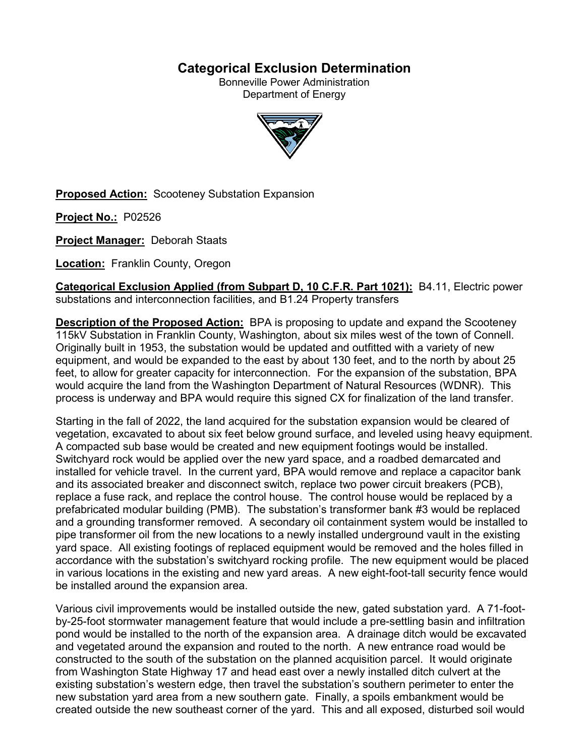# **Categorical Exclusion Determination**

Bonneville Power Administration Department of Energy



**Proposed Action:** Scooteney Substation Expansion

**Project No.:** P02526

**Project Manager:** Deborah Staats

**Location:** Franklin County, Oregon

**Categorical Exclusion Applied (from Subpart D, 10 C.F.R. Part 1021):** B4.11, Electric power substations and interconnection facilities, and B1.24 Property transfers

**Description of the Proposed Action:** BPA is proposing to update and expand the Scooteney 115kV Substation in Franklin County, Washington, about six miles west of the town of Connell. Originally built in 1953, the substation would be updated and outfitted with a variety of new equipment, and would be expanded to the east by about 130 feet, and to the north by about 25 feet, to allow for greater capacity for interconnection. For the expansion of the substation, BPA would acquire the land from the Washington Department of Natural Resources (WDNR). This process is underway and BPA would require this signed CX for finalization of the land transfer.

Starting in the fall of 2022, the land acquired for the substation expansion would be cleared of vegetation, excavated to about six feet below ground surface, and leveled using heavy equipment. A compacted sub base would be created and new equipment footings would be installed. Switchyard rock would be applied over the new yard space, and a roadbed demarcated and installed for vehicle travel. In the current yard, BPA would remove and replace a capacitor bank and its associated breaker and disconnect switch, replace two power circuit breakers (PCB), replace a fuse rack, and replace the control house. The control house would be replaced by a prefabricated modular building (PMB). The substation's transformer bank #3 would be replaced and a grounding transformer removed. A secondary oil containment system would be installed to pipe transformer oil from the new locations to a newly installed underground vault in the existing yard space. All existing footings of replaced equipment would be removed and the holes filled in accordance with the substation's switchyard rocking profile. The new equipment would be placed in various locations in the existing and new yard areas. A new eight-foot-tall security fence would be installed around the expansion area.

Various civil improvements would be installed outside the new, gated substation yard. A 71-footby-25-foot stormwater management feature that would include a pre-settling basin and infiltration pond would be installed to the north of the expansion area. A drainage ditch would be excavated and vegetated around the expansion and routed to the north. A new entrance road would be constructed to the south of the substation on the planned acquisition parcel. It would originate from Washington State Highway 17 and head east over a newly installed ditch culvert at the existing substation's western edge, then travel the substation's southern perimeter to enter the new substation yard area from a new southern gate. Finally, a spoils embankment would be created outside the new southeast corner of the yard. This and all exposed, disturbed soil would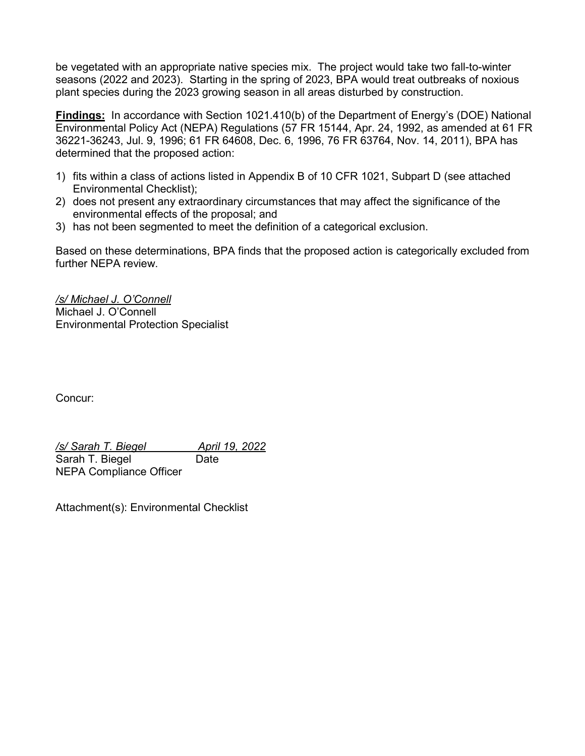be vegetated with an appropriate native species mix. The project would take two fall-to-winter seasons (2022 and 2023). Starting in the spring of 2023, BPA would treat outbreaks of noxious plant species during the 2023 growing season in all areas disturbed by construction.

**Findings:** In accordance with Section 1021.410(b) of the Department of Energy's (DOE) National Environmental Policy Act (NEPA) Regulations (57 FR 15144, Apr. 24, 1992, as amended at 61 FR 36221-36243, Jul. 9, 1996; 61 FR 64608, Dec. 6, 1996, 76 FR 63764, Nov. 14, 2011), BPA has determined that the proposed action:

- 1) fits within a class of actions listed in Appendix B of 10 CFR 1021, Subpart D (see attached Environmental Checklist);
- 2) does not present any extraordinary circumstances that may affect the significance of the environmental effects of the proposal; and
- 3) has not been segmented to meet the definition of a categorical exclusion.

Based on these determinations, BPA finds that the proposed action is categorically excluded from further NEPA review.

*/s/ Michael J. O'Connell* Michael J. O'Connell Environmental Protection Specialist

Concur:

*/s/ Sarah T. Biegel April 19, 2022* Sarah T. Biegel Date NEPA Compliance Officer

Attachment(s): Environmental Checklist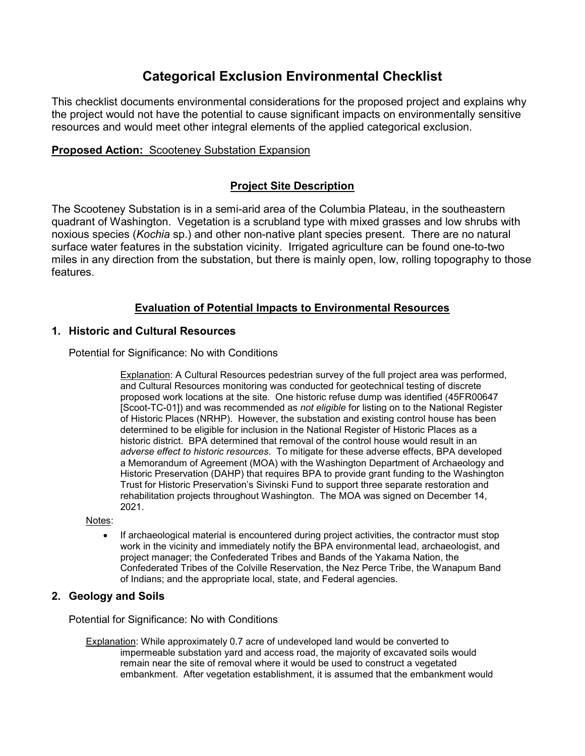# **Categorical Exclusion Environmental Checklist**

This checklist documents environmental considerations for the proposed project and explains why the project would not have the potential to cause significant impacts on environmentally sensitive resources and would meet other integral elements of the applied categorical exclusion.

## **Proposed Action:** Scooteney Substation Expansion

# **Project Site Description**

The Scooteney Substation is in a semi-arid area of the Columbia Plateau, in the southeastern quadrant of Washington. Vegetation is a scrubland type with mixed grasses and low shrubs with noxious species (*Kochia* sp.) and other non-native plant species present. There are no natural surface water features in the substation vicinity. Irrigated agriculture can be found one-to-two miles in any direction from the substation, but there is mainly open, low, rolling topography to those features.

# **Evaluation of Potential Impacts to Environmental Resources**

## **1. Historic and Cultural Resources**

Potential for Significance: No with Conditions

Explanation: A Cultural Resources pedestrian survey of the full project area was performed, and Cultural Resources monitoring was conducted for geotechnical testing of discrete proposed work locations at the site. One historic refuse dump was identified (45FR00647 [Scoot-TC-01]) and was recommended as *not eligible* for listing on to the National Register of Historic Places (NRHP). However, the substation and existing control house has been determined to be eligible for inclusion in the National Register of Historic Places as a historic district. BPA determined that removal of the control house would result in an *adverse effect to historic resources*. To mitigate for these adverse effects, BPA developed a Memorandum of Agreement (MOA) with the Washington Department of Archaeology and Historic Preservation (DAHP) that requires BPA to provide grant funding to the Washington Trust for Historic Preservation's Sivinski Fund to support three separate restoration and rehabilitation projects throughout Washington. The MOA was signed on December 14, 2021.

Notes:

• If archaeological material is encountered during project activities, the contractor must stop work in the vicinity and immediately notify the BPA environmental lead, archaeologist, and project manager; the Confederated Tribes and Bands of the Yakama Nation, the Confederated Tribes of the Colville Reservation, the Nez Perce Tribe, the Wanapum Band of Indians; and the appropriate local, state, and Federal agencies.

## **2. Geology and Soils**

Potential for Significance: No with Conditions

Explanation: While approximately 0.7 acre of undeveloped land would be converted to impermeable substation yard and access road, the majority of excavated soils would remain near the site of removal where it would be used to construct a vegetated embankment. After vegetation establishment, it is assumed that the embankment would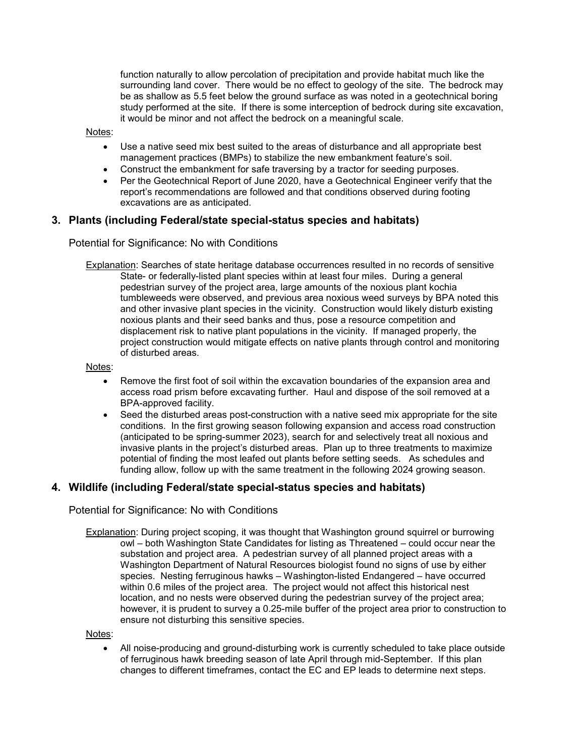function naturally to allow percolation of precipitation and provide habitat much like the surrounding land cover. There would be no effect to geology of the site. The bedrock may be as shallow as 5.5 feet below the ground surface as was noted in a geotechnical boring study performed at the site. If there is some interception of bedrock during site excavation, it would be minor and not affect the bedrock on a meaningful scale.

#### Notes:

- Use a native seed mix best suited to the areas of disturbance and all appropriate best management practices (BMPs) to stabilize the new embankment feature's soil.
- Construct the embankment for safe traversing by a tractor for seeding purposes.
- Per the Geotechnical Report of June 2020, have a Geotechnical Engineer verify that the report's recommendations are followed and that conditions observed during footing excavations are as anticipated.

#### **3. Plants (including Federal/state special-status species and habitats)**

Potential for Significance: No with Conditions

Explanation: Searches of state heritage database occurrences resulted in no records of sensitive State- or federally-listed plant species within at least four miles. During a general pedestrian survey of the project area, large amounts of the noxious plant kochia tumbleweeds were observed, and previous area noxious weed surveys by BPA noted this and other invasive plant species in the vicinity. Construction would likely disturb existing noxious plants and their seed banks and thus, pose a resource competition and displacement risk to native plant populations in the vicinity. If managed properly, the project construction would mitigate effects on native plants through control and monitoring of disturbed areas.

#### Notes:

- Remove the first foot of soil within the excavation boundaries of the expansion area and access road prism before excavating further. Haul and dispose of the soil removed at a BPA-approved facility.
- Seed the disturbed areas post-construction with a native seed mix appropriate for the site conditions. In the first growing season following expansion and access road construction (anticipated to be spring-summer 2023), search for and selectively treat all noxious and invasive plants in the project's disturbed areas. Plan up to three treatments to maximize potential of finding the most leafed out plants before setting seeds. As schedules and funding allow, follow up with the same treatment in the following 2024 growing season.

#### **4. Wildlife (including Federal/state special-status species and habitats)**

Potential for Significance: No with Conditions

Explanation: During project scoping, it was thought that Washington ground squirrel or burrowing owl – both Washington State Candidates for listing as Threatened – could occur near the substation and project area. A pedestrian survey of all planned project areas with a Washington Department of Natural Resources biologist found no signs of use by either species. Nesting ferruginous hawks – Washington-listed Endangered – have occurred within 0.6 miles of the project area. The project would not affect this historical nest location, and no nests were observed during the pedestrian survey of the project area; however, it is prudent to survey a 0.25-mile buffer of the project area prior to construction to ensure not disturbing this sensitive species.

#### Notes:

• All noise-producing and ground-disturbing work is currently scheduled to take place outside of ferruginous hawk breeding season of late April through mid-September. If this plan changes to different timeframes, contact the EC and EP leads to determine next steps.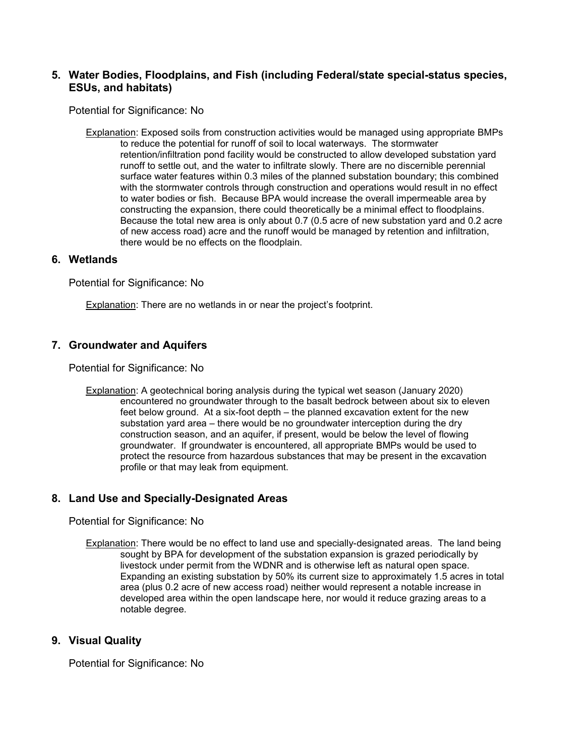## **5. Water Bodies, Floodplains, and Fish (including Federal/state special-status species, ESUs, and habitats)**

Potential for Significance: No

Explanation: Exposed soils from construction activities would be managed using appropriate BMPs to reduce the potential for runoff of soil to local waterways. The stormwater retention/infiltration pond facility would be constructed to allow developed substation yard runoff to settle out, and the water to infiltrate slowly. There are no discernible perennial surface water features within 0.3 miles of the planned substation boundary; this combined with the stormwater controls through construction and operations would result in no effect to water bodies or fish. Because BPA would increase the overall impermeable area by constructing the expansion, there could theoretically be a minimal effect to floodplains. Because the total new area is only about 0.7 (0.5 acre of new substation yard and 0.2 acre of new access road) acre and the runoff would be managed by retention and infiltration, there would be no effects on the floodplain.

#### **6. Wetlands**

Potential for Significance: No

Explanation: There are no wetlands in or near the project's footprint.

## **7. Groundwater and Aquifers**

Potential for Significance: No

Explanation: A geotechnical boring analysis during the typical wet season (January 2020) encountered no groundwater through to the basalt bedrock between about six to eleven feet below ground. At a six-foot depth – the planned excavation extent for the new substation yard area – there would be no groundwater interception during the dry construction season, and an aquifer, if present, would be below the level of flowing groundwater. If groundwater is encountered, all appropriate BMPs would be used to protect the resource from hazardous substances that may be present in the excavation profile or that may leak from equipment.

#### **8. Land Use and Specially-Designated Areas**

Potential for Significance: No

Explanation: There would be no effect to land use and specially-designated areas. The land being sought by BPA for development of the substation expansion is grazed periodically by livestock under permit from the WDNR and is otherwise left as natural open space. Expanding an existing substation by 50% its current size to approximately 1.5 acres in total area (plus 0.2 acre of new access road) neither would represent a notable increase in developed area within the open landscape here, nor would it reduce grazing areas to a notable degree.

## **9. Visual Quality**

Potential for Significance: No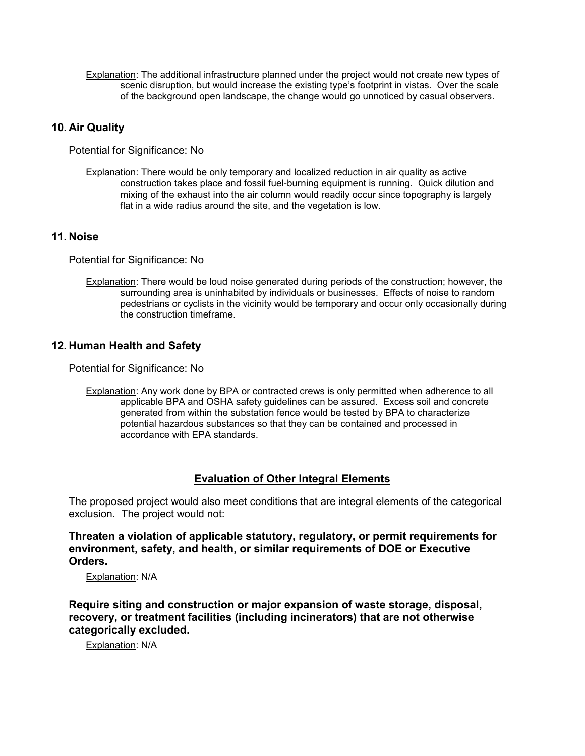Explanation: The additional infrastructure planned under the project would not create new types of scenic disruption, but would increase the existing type's footprint in vistas. Over the scale of the background open landscape, the change would go unnoticed by casual observers.

## **10. Air Quality**

Potential for Significance: No

Explanation: There would be only temporary and localized reduction in air quality as active construction takes place and fossil fuel-burning equipment is running. Quick dilution and mixing of the exhaust into the air column would readily occur since topography is largely flat in a wide radius around the site, and the vegetation is low.

## **11. Noise**

Potential for Significance: No

Explanation: There would be loud noise generated during periods of the construction; however, the surrounding area is uninhabited by individuals or businesses. Effects of noise to random pedestrians or cyclists in the vicinity would be temporary and occur only occasionally during the construction timeframe.

## **12. Human Health and Safety**

Potential for Significance: No

Explanation: Any work done by BPA or contracted crews is only permitted when adherence to all applicable BPA and OSHA safety guidelines can be assured. Excess soil and concrete generated from within the substation fence would be tested by BPA to characterize potential hazardous substances so that they can be contained and processed in accordance with EPA standards.

## **Evaluation of Other Integral Elements**

The proposed project would also meet conditions that are integral elements of the categorical exclusion. The project would not:

**Threaten a violation of applicable statutory, regulatory, or permit requirements for environment, safety, and health, or similar requirements of DOE or Executive Orders.**

Explanation: N/A

**Require siting and construction or major expansion of waste storage, disposal, recovery, or treatment facilities (including incinerators) that are not otherwise categorically excluded.**

Explanation: N/A